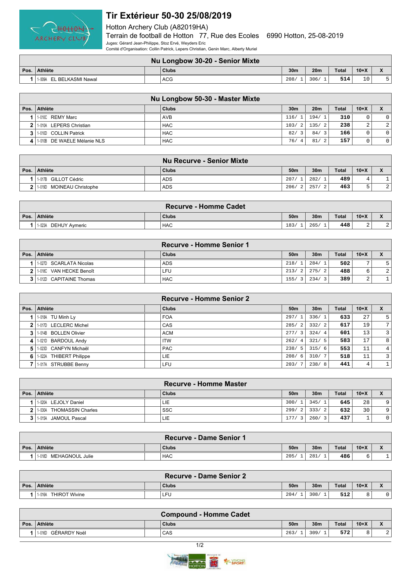

## **Tir Extérieur 50-30 25/08/2019**

Hotton Archery Club (A82019HA)

Terrain de football de Hotton 77, Rue des Ecoles 6990 Hotton, 25-08-2019 Juges: Gérard Jean-Philippe, Stoz Ervé, Weyders Eric

Comité d'Organisation: Collin Patrick, Lepers Christian, Genin Marc, Alberty Muriel

|      | Nu Longbow 30-20 - Senior Mixte |  |       |                 |                 |              |        |  |  |  |
|------|---------------------------------|--|-------|-----------------|-----------------|--------------|--------|--|--|--|
| Pos. | <b>Athlète</b>                  |  | Clubs | 30 <sub>m</sub> | 20 <sub>m</sub> | <b>Total</b> | $10+X$ |  |  |  |
|      | L BELKASMI Nawal<br>1-009A EL   |  | ACG   | 208/            | 306             | 514          | 10     |  |  |  |

|                               | Nu Longbow 50-30 - Master Mixte |                       |                       |              |        |                |
|-------------------------------|---------------------------------|-----------------------|-----------------------|--------------|--------|----------------|
| Pos.   Athlète                | Clubs                           | 30 <sub>m</sub>       | 20 <sub>m</sub>       | <b>Total</b> | $10+X$ | $\check{}$     |
| 1   1-010C REMY Marc          | <b>AVB</b>                      | 116/1                 | 194/1                 | 310          | 0      | $\circ$        |
| 2 1.010A LEPERS Christian     | <b>HAC</b>                      | 103/2                 | 135/2                 | 238          | 2      | $\overline{2}$ |
| 3 1.010 COLLIN Patrick        | <b>HAC</b>                      | 82/                   | 84/<br>3 <sup>1</sup> | 166          | 0      | $\circ$        |
| 4 1.010B DE WAELE Mélanie NLS | <b>HAC</b>                      | 76/<br>$\overline{4}$ | 81/                   | 157          | 0      | $\circ$        |

|                                     | <b>Nu Recurve - Senior Mixte</b> |                 |                 |              |        |                          |
|-------------------------------------|----------------------------------|-----------------|-----------------|--------------|--------|--------------------------|
| Pos. Athlète                        | <b>Clubs</b>                     | 50 <sub>m</sub> | 30 <sub>m</sub> | <b>Total</b> | $10+X$ | $\overline{\phantom{a}}$ |
| 1-017B GILLOT Cédric                | <b>ADS</b>                       | 207/            | 282/1           | 489          |        |                          |
| <b>MOINEAU Christophe</b><br>1-019D | <b>ADS</b>                       | 206/2           | 257/            | 463          |        | $\overline{2}$           |

| <b>Recurve - Homme Cadet</b>   |  |            |                 |                 |              |        |                                            |  |
|--------------------------------|--|------------|-----------------|-----------------|--------------|--------|--------------------------------------------|--|
| Pos. Athlète                   |  | Clubs      | 50 <sub>m</sub> | 30 <sub>m</sub> | <b>Total</b> | $10+X$ | $\mathbf{v}$<br>$\boldsymbol{\mathcal{L}}$ |  |
| <b>DEHUY Avmeric</b><br>1-023A |  | <b>HAC</b> | 183/            | 265.            | 448          | -      | ▵                                          |  |

|                           | <b>Recurve - Homme Senior 1</b> |                 |                 |              |        |   |
|---------------------------|---------------------------------|-----------------|-----------------|--------------|--------|---|
| Pos. Athlète              | Clubs                           | 50 <sub>m</sub> | 30 <sub>m</sub> | <b>Total</b> | $10+X$ |   |
| 1-027D SCARLATA Nicolas   | <b>ADS</b>                      | 218/            | 284/            | 502          |        |   |
| 1-018C VAN HECKE Benoît   | ∟FU                             | 213/            | 275/2           | 488          |        | 2 |
| 3 1.012D CAPITAINE Thomas | <b>HAC</b>                      | 155/3           | 234/3           | 389          | ▵      |   |

|                |                                   | <b>Recurve - Homme Senior 2</b> |                        |                 |       |        |                |
|----------------|-----------------------------------|---------------------------------|------------------------|-----------------|-------|--------|----------------|
| Pos.           | <b>Athlète</b>                    | <b>Clubs</b>                    | 50 <sub>m</sub>        | 30 <sub>m</sub> | Total | $10+X$ | X              |
|                | 1-018A TU Minh Ly                 | <b>FOA</b>                      | 297/1                  | 336/1           | 633   | 27     | 5              |
| 2 <sub>1</sub> | 1-017D LECLERC Michel             | CAS                             | 285/<br>$\overline{2}$ | 332/2           | 617   | 19     | 7              |
| 3              | 1-014B BOLLEN Olivier             | <b>ACM</b>                      | 277/3                  | 324/4           | 601   | 13     | 3              |
| 4              | 1-0210 BARDOUL Andy               | <b>ITW</b>                      | 262/<br>-4             | 321/5           | 583   | 17     | 8 <sup>1</sup> |
| 5.             | CANFYN Michaël<br>1-023D          | <b>PAC</b>                      | 238/                   | 315/6           | 553   | 11     | 4              |
| 6              | <b>THIBERT Philippe</b><br>1-022A | LIE                             | 208/<br>-6             | 310/7           | 518   | 11     | 3              |
|                | 1-017A STRUBBE Benny              | LFU                             | 203/                   | 238/8           | 441   | 4      | 1.             |

|                |                          | <b>Recurve - Homme Master</b> |                 |                 |              |        |             |
|----------------|--------------------------|-------------------------------|-----------------|-----------------|--------------|--------|-------------|
|                | Pos. Athlète             | Clubs                         | 50 <sub>m</sub> | 30 <sub>m</sub> | <b>Total</b> | $10+X$ |             |
|                | 1-020A LEJOLY Daniel     | LIE                           | 300/            | 345/1           | 645          | 28     | 9           |
|                | 1-030A THOMASSIN Charles | <b>SSC</b>                    | 299/            | 333/2           | 632          | 30     | 9           |
| 3 <sub>1</sub> | 1-015A JAMOUL Pascal     | LIE                           | 177/            | 260/3           | 437          |        | $\mathbf 0$ |

|      |                           | <b>Recurve - Dame Senior 1</b> |                 |                 |              |        |                                     |
|------|---------------------------|--------------------------------|-----------------|-----------------|--------------|--------|-------------------------------------|
| Pos. | ∣ Athlète                 | <b>Clubs</b>                   | 50 <sub>m</sub> | 30 <sub>m</sub> | <b>Total</b> | $10+X$ | $\bullet$<br>$\boldsymbol{\Lambda}$ |
|      | MEHAGNOUL Julie<br>1-018D | <b>HAC</b>                     | 205/            | 281             | 486          |        |                                     |

| <b>Recurve - Dame Senior 2</b> |  |              |                 |                 |       |        |                                        |  |  |
|--------------------------------|--|--------------|-----------------|-----------------|-------|--------|----------------------------------------|--|--|
| Pos. Athlète                   |  | <b>Clubs</b> | 50 <sub>m</sub> | 30 <sub>m</sub> | Total | $10+X$ | $\mathbf{v}$<br>$\boldsymbol{\Lambda}$ |  |  |
| <b>THIROT Wivine</b><br>1-016A |  | ' LFU        | 204/            | 308/            | 512   |        | 0                                      |  |  |

|      |                        | <b>Compound - Homme Cadet</b> |                 |                 |              |        |                           |
|------|------------------------|-------------------------------|-----------------|-----------------|--------------|--------|---------------------------|
| Pos. | Athlète                | <b>Clubs</b>                  | 50 <sub>m</sub> | 30 <sub>m</sub> | <b>Total</b> | $10+X$ | $\mathbf{v}$<br>$\lambda$ |
|      | GÉRARDY Noël<br>1-016D | CAS                           | 263,            | 309/            | 572          |        | ▵                         |
|      |                        |                               |                 |                 |              |        |                           |

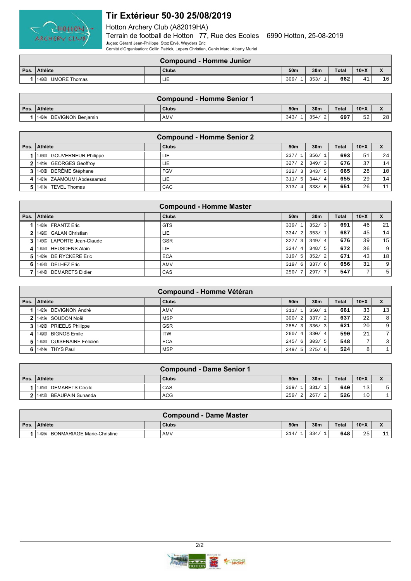

## **Tir Extérieur 50-30 25/08/2019**

Hotton Archery Club (A82019HA)

Terrain de football de Hotton 77, Rue des Ecoles 6990 Hotton, 25-08-2019 Juges: Gérard Jean-Philippe, Stoz Ervé, Weyders Eric

Comité d'Organisation: Collin Patrick, Lepers Christian, Genin Marc, Alberty Muriel

|      | <b>Compound - Homme Junior</b> |  |       |                 |                 |       |                           |    |  |  |
|------|--------------------------------|--|-------|-----------------|-----------------|-------|---------------------------|----|--|--|
| Pos. | <b>Athlète</b>                 |  | Clubs | 50 <sub>m</sub> | 30 <sub>m</sub> | Total | $10+X$                    |    |  |  |
|      | <b>UMORE Thomas</b><br>1-026D  |  | LIE   | 309.            | 252<br>، د د د  | 662   | $\sim$<br>д.<br><b>++</b> | 16 |  |  |

| <b>Compound - Homme Senior 1</b>   |  |       |      |                 |              |        |                           |  |  |
|------------------------------------|--|-------|------|-----------------|--------------|--------|---------------------------|--|--|
| Pos. Athlète                       |  | Clubs | 50m  | 30 <sub>m</sub> | <b>Total</b> | $10+X$ | $\mathbf{v}$<br>$\lambda$ |  |  |
| <b>DEVIGNON Beniamin</b><br>1-024A |  | AMV   | 343/ | 354<br>$\sim$   | 697          | 52     | 28                        |  |  |

|    | <b>Compound - Homme Senior 2</b> |  |              |                 |                 |       |        |    |  |
|----|----------------------------------|--|--------------|-----------------|-----------------|-------|--------|----|--|
|    | Pos. Athlète                     |  | <b>Clubs</b> | 50 <sub>m</sub> | 30 <sub>m</sub> | Total | $10+X$ |    |  |
|    | 1-030D GOUVERNEUR Philippe       |  | LIE          | 337/1           | 356/1           | 693   | 51     | 24 |  |
|    | 1-019A GEORGES Geoffroy          |  | LIE.         | 327/<br>2       | 349/3           | 676   | 37     | 14 |  |
|    | 1-030B DERÊME Stéphane           |  | <b>FGV</b>   | 322/            | 343/5           | 665   | 28     | 10 |  |
| 41 | 1-021A ZAAMOUMI Abdessamad       |  | LIE          | 311/<br>- 5     | 344/4           | 655   | 29     | 14 |  |
|    | TEVEL Thomas<br>1-013A           |  | CAC          | 313/<br>4       | 338/<br>- 6     | 651   | 26     | 11 |  |

| <b>Compound - Homme Master</b> |                                  |              |                       |                 |       |              |    |
|--------------------------------|----------------------------------|--------------|-----------------------|-----------------|-------|--------------|----|
| Pos.                           | <b>Athlète</b>                   | <b>Clubs</b> | 50 <sub>m</sub>       | 30 <sub>m</sub> | Total | $10+X$       |    |
|                                | <b>FRANTZ Eric</b><br>1-028A     | <b>GTS</b>   | 339/                  | 352/3           | 691   | 46           | 21 |
| 2                              | 1-028C GALAN Christian           | LIE          | 334/<br>$\mathcal{L}$ | 353/1           | 687   | 45           | 14 |
| 3                              | 1-030C LAPORTE Jean-Claude       | <b>GSR</b>   | 327/<br>3             | 349/4           | 676   | 39           | 15 |
| 4                              | <b>HEUSDENS Alain</b><br>1- 025D | LIE          | 324/<br>4             | 348/5           | 672   | 36           | 9  |
| 5.                             | 1-029A DE RYCKERE Eric           | <b>ECA</b>   | 319/5                 | 352/2           | 671   | 43           | 18 |
| 6                              | 1-024D DELHEZ Eric               | AMV          | 319/<br>- 6           | 337/6           | 656   | 31           | 9  |
|                                | 1-014D DEMARETS Didier           | CAS          | 250.                  | 297/7           | 547   | $\mathbf{r}$ | 5  |

| <b>Compound - Homme Vétéran</b> |                                   |  |              |                 |                 |              |                 |                |
|---------------------------------|-----------------------------------|--|--------------|-----------------|-----------------|--------------|-----------------|----------------|
| Pos. $\vert$                    | Athlète                           |  | <b>Clubs</b> | 50 <sub>m</sub> | 30 <sub>m</sub> | <b>Total</b> | $10+X$          | $\mathbf{x}$   |
|                                 | DEVIGNON André<br>1-025A          |  | AMV          | 311/            | 350/1           | 661          | 33 <sub>1</sub> | 13             |
| 2                               | 1-012A SOUDON Noël                |  | <b>MSP</b>   | 300/<br>2       | 337/2           | 637          | 22              | 8              |
| 3                               | <b>PRIEELS Philippe</b><br>1-029D |  | <b>GSR</b>   | 285/3           | 336/3           | 621          | 20              | $\overline{9}$ |
| 4                               | 1-0200 BIGNOS Emile               |  | <b>ITW</b>   | 260/4           | 330/4           | 590          | 21              | 7 <sup>1</sup> |
| 5.                              | 1-028D QUISENAIRE Félicien        |  | <b>ECA</b>   | 245/6           | 303/5           | 548          | $7^{\circ}$     | $\overline{3}$ |
| 6.                              | 1-014A THYS Paul                  |  | <b>MSP</b>   | 249/5           | 275/6           | 524          | 8               |                |

|                | <b>Compound - Dame Senior 1</b> |  |              |                       |                       |              |        |              |
|----------------|---------------------------------|--|--------------|-----------------------|-----------------------|--------------|--------|--------------|
|                | Pos. Athlète                    |  | <b>Clubs</b> | 50 <sub>m</sub>       | 30 <sub>m</sub>       | <b>Total</b> | $10+X$ | $\mathbf{v}$ |
|                | DEMARETS Cécile<br>$1 - 015D$   |  | CAS          | 309/                  | 331/                  | 640          | 13     |              |
| 2 <sup>1</sup> | 11-013D BEAUPAIN Sunanda        |  | ACG          | 259/<br>$\mathcal{L}$ | 267/<br>$\mathcal{L}$ | 526          | 10     |              |

|      | <b>Compound - Dame Master</b>               |  |       |                 |                 |              |        |                                        |
|------|---------------------------------------------|--|-------|-----------------|-----------------|--------------|--------|----------------------------------------|
| Pos. | <b>Athlète</b>                              |  | Clubs | 50 <sub>m</sub> | 30 <sub>m</sub> | <b>Total</b> | $10+X$ | $\mathbf{v}$<br>$\boldsymbol{\Lambda}$ |
|      | <b>BONMARIAGE Marie-Christine</b><br>1-026A |  | AMV   | 314/            | 334             | 648          | 25     | $-1$<br>+ +                            |